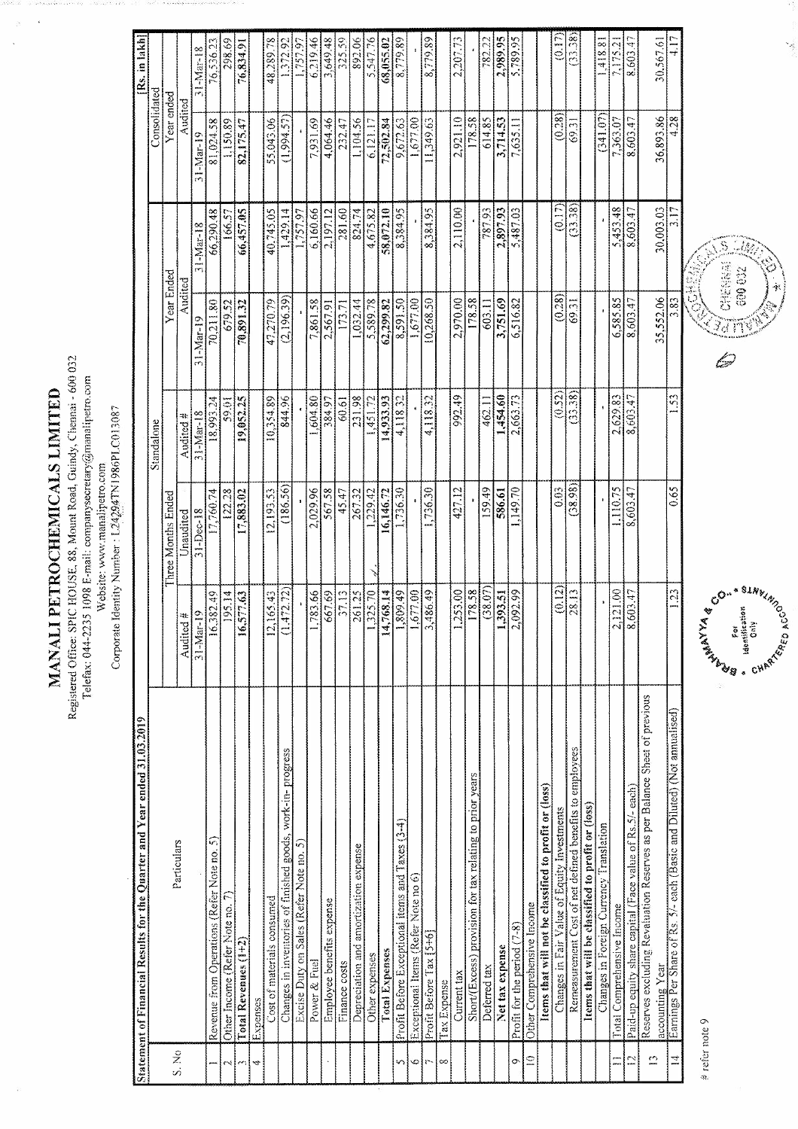MANALI PETROCHEMICALS LIMITED

Registered Office: SPIC HOUSE, 88, Mount Road, Guindy, Chennai - 600 032 Telefax: 044-2235 1098 E-mail: companysecretary@manalipetro.com

Corporate Identity Number: L24294TN1986PLC013087 Vebsite: www.manalipetro.com

892.06  $(0.17)$ 325.59 2.989.95  $(33.38)$ 4.17 [Rs. in lakh] 298.69 6,219.46 8,779.89 782.22 30,567.61 48,289.78 3,649.48 5.789.95 1,418.81 76,834.91 1.372.92 1.757.97 5.54776 68,055.02 8.779.89  $2,207.73$ 8.603.47  $76,536.23$ 7.175.2 31-Mar-18 Consolidated Year ended Audited  $(0.28)$ 4.28 55,043.06 614.85  $(341.07)$ 36,893.86 104.56 11,349.63 2,921.10 3,714.53 8,603.47 81,024.58 7,931.69 4,064.46 232.47 9,672.63 178.58 7,635.11 7,363.07 1.150.89 82.175.47  $(1,994.57)$ 6.121.17 72.502.84 1.677.00 69.31  $31 - Max - 19$  $(0.17)$ 2,897.93 5,487.03  $(33.38)$ 281.60 824.74 787.93 5,453.48 30,003.03 166.57 66,457.05 40,745.05 1,429.14 6,160.66  $2.197.12$ 58,072.10 8,384.95 8,384.95 2,110.00 8,603.47 66,290.48 4,675.82 1.757.97 31-Mar-18 Year Ended Audited  $(0.28)$  $(2,196.39)$ 35,552.06 70,211.80 47,270.79  $.032.44$ 8,591.50 10,268.50 2,970.00 603.11 3,751.69  $6,585.85$ 8,603.47 3.83 70.891.32 7,861.58 5.589.78 62,299.82 178.58 6,516.82 69.31 1.677.00 679.52 2,567.91 173.71  $31-Mar-19$  $(0.52)$  $(33.38)$ 844.96 1,604.80  $\frac{384.97}{60.61}$ 231.98 992.49 1,454.60  $\frac{3}{2}$ 19,052.25 10,354.89 2,663.73 2,629.83 8,603.47 18,993.24 10.65 14,933.93 4,118.32 4.118.32 462.11 1451.72  $31 - Max - 18$ Audited # **Standalone**  $(38.98)$  $\sqrt{159.49}$  $|0.03|$  $0.65$  $(186.56)$ 1,736.30 586.61 ,149.70 45.47 267.32 427.12 1,110.75 17,883.02 2,029.96 567.58 8,603.47 12,193.53 16,146.72 1.736.30 17.760.74 122.28  $.229.42$ Iree Months Ended Unaudited 31-Dec-18  $\frac{178.58}{(38.07)}$ <br>1,393.51  $\frac{1,809,49}{1,677,00}$  $(0.12)$  $(253.00)$  $\frac{28.13}{ }$ 2,121.00 195.34 261.25  $\overline{23}$ 16,382.49 16,577.63  $12,165.43$  $(1,472,72)$ 1,783.66 667.69 37.13 14,768,14 3,486.49 2,092.99 8,603.47  $.325.70$  $\frac{\text{Audited }\#}{31 - \text{Mar-19}}$ Reserves excluding Revaluation Reserves as per Balance Sheet of previous Earnings Per Share of Rs. 5/- each (Basic and Diluted) (Not annualised) Statement of Financial Results for the Quarter and Year ended 31.03.2019 Changes in inventories of finished goods, work-in-progress Remeasurement Cost of net defined benefits to employees Short/(Excess) provision for tax relating to prior years Items that will not be classified to profit or (loss) Paid-up equity share capital (Face value of Rs.5/- each) Items that will be classified to profit or (loss) Changes in Fair Value of Equity Investments Profit Before Exceptional items and Taxes (3-4) Changes in Foreign Currency Translation Revenue from Operations (Refer Note no. 5) Excise Duty on Sales (Refer Note no. 5) Particulars Depreciation and amortization expense Exceptional Items (Refer Note no 6) Cost of materials consumed Employee benefits expense Other Income (Refer Note no. Other Comprehensive Income otal Comprehensive Income Profit for the period (7-8) Profit Before Tax [5+6] Total Revenues (1+2) Net tax expense **Total Expenses** Other expenses Finance costs Power & Fuel accounting Year Deferred tax Current tax Tax Expense Expenses S. No  $\overline{12}$  $\leq$  $\mathbb{S}^1$  $\vec{a}$  $\equiv$ o,  $\circ$ bć 4

# refer note 9



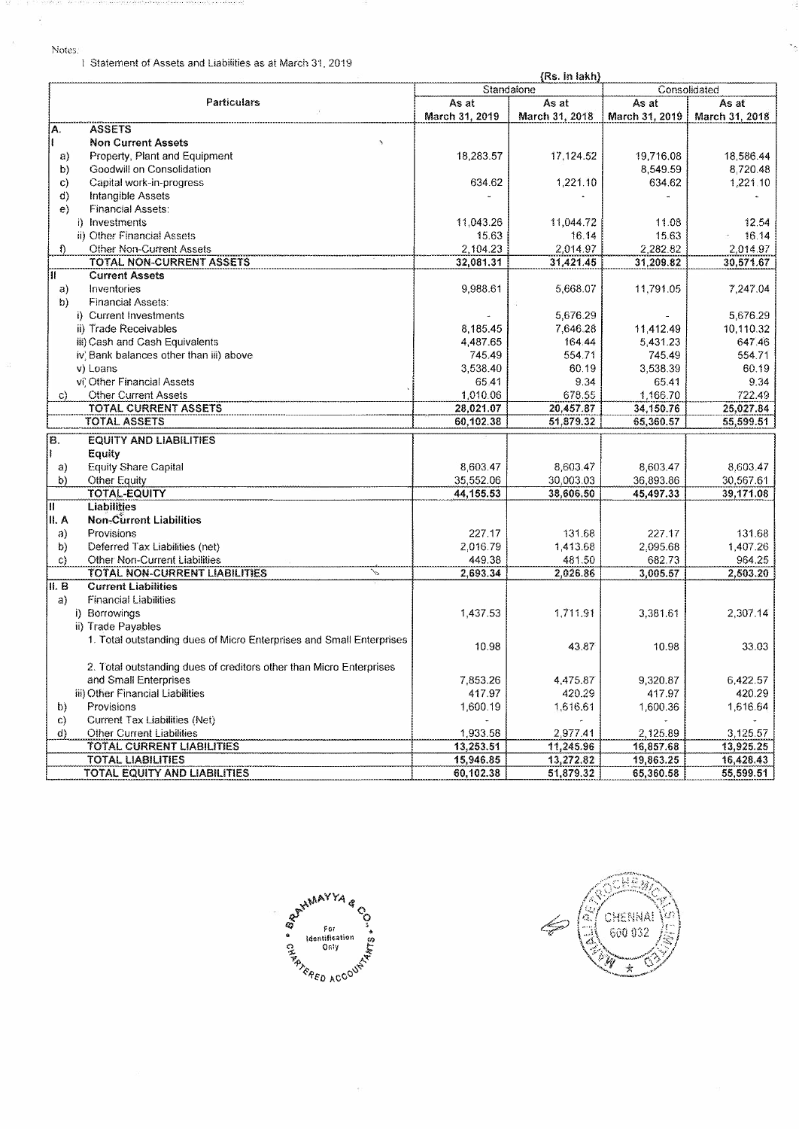1 Statement of Assets and Liabilities as at March 31, 2019

| {Rs. in lakh}                                                        |                |                |                |                |
|----------------------------------------------------------------------|----------------|----------------|----------------|----------------|
|                                                                      | Standalone     |                | Consolidated   |                |
| <b>Particulars</b>                                                   | As at          | As at          | As at          | As at          |
|                                                                      | March 31, 2019 | March 31, 2018 | March 31, 2019 | March 31, 2018 |
| <b>ASSETS</b><br>Α.                                                  |                |                |                |                |
| <b>Non Current Assets</b><br>$\lambda$                               |                |                |                |                |
| Property, Plant and Equipment<br>a)                                  | 18,283.57      | 17,124.52      | 19,716.08      | 18,586.44      |
| Goodwill on Consolidation<br>b)                                      |                |                | 8,549.59       | 8,720.48       |
| Capital work-in-progress<br>C)                                       | 634.62         | 1,221.10       | 634.62         | 1,221.10       |
| <b>Intangible Assets</b><br>d)                                       |                |                |                |                |
| <b>Financial Assets:</b><br>e)                                       |                |                |                |                |
| i) Investments                                                       | 11,043.26      | 11,044.72      | 11.08          | 12.54          |
| ii) Other Financial Assets                                           | 15.63          | 16.14          | 15.63          | 16.14          |
| <b>Other Non-Current Assets</b><br>f)                                | 2,104.23       | 2,014.97       | 2,282.82       | 2,014.97       |
| TOTAL NON-CURRENT ASSETS                                             | 32,081.31      | 31,421.45      | 31,209.82      | 30,571.67      |
| <b>Current Assets</b><br>Ш.                                          |                |                |                |                |
| Inventories<br>a)                                                    | 9,988.61       | 5,668.07       | 11,791.05      | 7,247.04       |
| b)<br><b>Financial Assets:</b>                                       |                |                |                |                |
| i) Current Investments                                               |                | 5,676.29       |                | 5,676.29       |
| ii) Trade Receivables                                                | 8,185.45       | 7,646.28       | 11,412.49      | 10,110.32      |
| iii) Cash and Cash Equivalents                                       | 4,487.65       | 164.44         | 5,431.23       | 647.46         |
| iv, Bank balances other than iii) above                              | 745.49         | 554.71         | 745.49         | 554.71         |
| v) Loans                                                             | 3,538.40       | 60.19          | 3.538.39       | 60.19          |
| vi' Other Financial Assets                                           | 65.41          | 9.34           | 65.41          | 9.34           |
| <b>Other Current Assets</b><br>C)                                    | 1,010.06       | 678.55         | 1,166.70       | 722.49         |
| <b>TOTAL CURRENT ASSETS</b>                                          | 28,021.07      | 20,457.87      | 34,150.76      | 25.027.84      |
| TOTAL ASSETS                                                         | 60,102.38      | 51,879.32      | 65,360.57      | 55,599.51      |
|                                                                      |                |                |                |                |
| B.<br><b>EQUITY AND LIABILITIES</b>                                  |                |                |                |                |
| Equity                                                               |                |                |                |                |
| Equity Share Capital<br>a)                                           | 8.603.47       | 8,603.47       | 8.603.47       | 8.603.47       |
| Other Equity<br>b)                                                   | 35,552.06      | 30,003.03      | 36,893.86      | 30,567.61      |
| <b>TOTAL-EQUITY</b>                                                  | 44, 155.53     | 38,606.50      | 45,497.33      | 39,171.08      |
| Ш<br><b>Liabilities</b>                                              |                |                |                |                |
| II. A<br><b>Non-Current Liabilities</b>                              |                |                |                |                |
| Provisions<br>a)                                                     | 227.17         | 131.68         | 227.17         | 131.68         |
| Deferred Tax Liabilities (net)<br>b)                                 | 2,016.79       | 1,413.68       | 2,095.68       | 1,407.26       |
| Other Non-Current Liabilities<br>C)                                  | 449.38         | 481.50         | 682.73         | 964.25         |
| TOTAL NON-CURRENT LIABILITIES<br>v.                                  | 2,693.34       | 2,026.86       | 3,005.57       | 2,503.20       |
| II. B<br><b>Current Liabilities</b>                                  |                |                |                |                |
| <b>Financial Liabilities</b><br>a)                                   |                |                |                |                |
| i) Borrowings                                                        | 1,437.53       | 1,711.91       | 3,381.61       | 2,307.14       |
| ii) Trade Payables                                                   |                |                |                |                |
| 1. Total outstanding dues of Micro Enterprises and Small Enterprises | 10.98          | 43.87          | 10.98          | 33.03          |
|                                                                      |                |                |                |                |
| 2. Total outstanding dues of creditors other than Micro Enterprises  |                |                |                |                |
| and Small Enterprises                                                | 7,853.26       | 4,475.87       | 9,320.87       | 6,422.57       |
| iii) Other Financial Liabilities                                     | 417.97         | 420.29         | 417.97         | 420.29         |
| Provisions<br>b)                                                     | 1,600.19       | 1,616.61       | 1.600.36       | 1,616.64       |
| Current Tax Liabilities (Net)<br>$\mathsf{C}$                        |                |                |                |                |
| Other Current Liabilities<br>d)                                      | 1,933.58       | 2,977.41       | 2,125.89       | 3,125.57       |
| <b>TOTAL CURRENT LIABILITIES</b>                                     | 13,253.51      | 11,245.96      | 16,857.68      | 13,925.25      |
| <b>TOTAL LIABILITIES</b>                                             | 15,946.85      | 13,272.82      | 19,863.25      | 16,428.43      |
| <b>TOTAL EQUITY AND LIABILITIES</b>                                  | 60,102.38      | 51,879.32      | 65,360.58      | 55,599.51      |



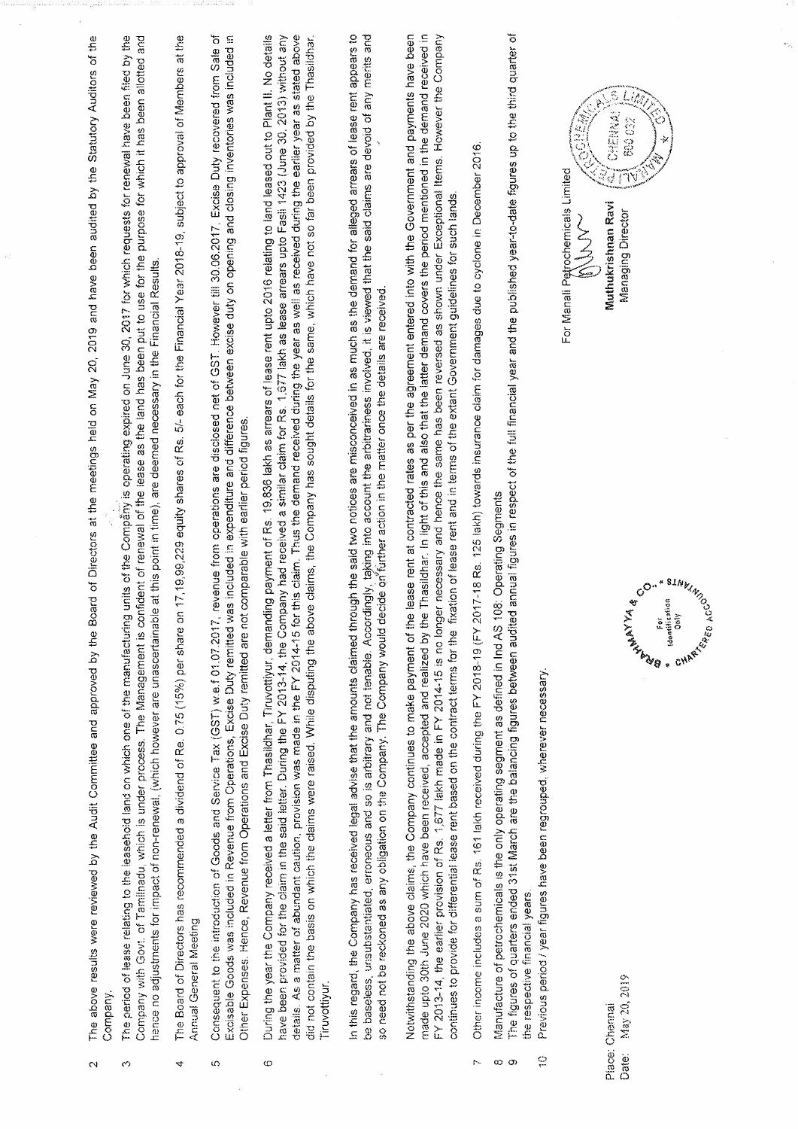| Õ<br>4<br>S.<br>$\infty$ | Company with Govt. of Tamilnadu, which is under process. The Management is confident of renewal of the isase as the land has been put to use for the purpose for which it has been allotted and<br>17,19,99,229 equity shares of Rs. 5/- each for the Financial Year 2018-19, subject to approval of Members at the<br>The period of lease relating to the leasehold land on which one of the manufacturing unity is operating expired on June 30, 2017 for which requests for renewal have been filed by the<br>hence no adjustments for impact of non-renewal, (which however are unascertainable at this point in time), are deemed necessary in the Financial Results<br>The Board of Directors has recommended a dividend of Re. 0.75 (15%) per share on<br>Annual General Meeting                                                 |
|--------------------------|-----------------------------------------------------------------------------------------------------------------------------------------------------------------------------------------------------------------------------------------------------------------------------------------------------------------------------------------------------------------------------------------------------------------------------------------------------------------------------------------------------------------------------------------------------------------------------------------------------------------------------------------------------------------------------------------------------------------------------------------------------------------------------------------------------------------------------------------|
|                          |                                                                                                                                                                                                                                                                                                                                                                                                                                                                                                                                                                                                                                                                                                                                                                                                                                         |
|                          |                                                                                                                                                                                                                                                                                                                                                                                                                                                                                                                                                                                                                                                                                                                                                                                                                                         |
|                          | Consequent to the introduction of Goods and Service Tax (GST) w.e.f 01.07.2017, revenue from operations are disclosed net of GST. However fill 30.06.2017, Excise Duty recovered from Sale of<br>Excisable Goods was included in Revenue from Operations, Excise Duty remitted was included in expenditure and difference between excise duty on opening and closing inventories was included in<br>Other Expenses. Hence, Revenue from Operations and Excise Duty remitted are not comparable with earlier period figures                                                                                                                                                                                                                                                                                                              |
|                          | details. As a matter of abundant caution, provision was made in the FY 2014-15 for this claim. Thus the demand received during the well as received during the earlier year as stated above<br>During the year the Company received a letter from Thasildhar, Tinuvottiyur, demanding payment of Rs. 19,836 lakh as arrears of lease rent upto 2016 relating to land leased out to Plant II. No details<br>have been provided for the claim in the said letter. During the FY 2013-14, the Company had received a similar claim for Rs. 1,677 lakh as lease arrears upto Fasil 1423 (June 30, 2013) without any<br>claims, the Company has sought details for the same, which have not so far been provided by the Thasildhar.<br>did not contain the basis on which the claims were raised. While disputing the above<br>Tiruvottiyur. |
|                          | In this regard, the Company has received legal advise that the amounts claimed through the said two notices are misconceived in as much as the demand for alleged arrears of lease rent appears to<br>be baseless, unsubstantiated, erroneous and so is arbitrary and not tenable. Accordingly, taking into account the arbitrariness involved. It is viewed that the said claims are devoid of any merits and<br>so need not be reckoned as any obligation on the Company. The Company would decide on further action in the matter once the details are received.                                                                                                                                                                                                                                                                     |
|                          | Notwithstanding the above claims, the Company continues to make payment of the lease rent at contracted rates as per the agreement entered into with the Government and payments have been<br>Thasildhar. In light of this and also that the latter demand covers the period mentioned in the demand received in<br>necessary and hence the same has been reversed as shown under Exceptional Items. However the Company<br>continues to provide for differential leaser ent based on the contract terms for the fixation of lease rent and in terms of the extant Government guidelines for such lands.<br>FY 2013-14, the earlier provision of Rs. 1,677 lakh made in FY 2014-15 is no longer<br>made upto 30th June 2020 which have been received, accepted and realized by the                                                      |
| Ľ                        | Other income includes a sum of Rs. 161 lakh received during the FY 2018-19 (FY 2017-18 Rs. 125 lakh) towards insurance claim for damages due to cyclone in December 2016                                                                                                                                                                                                                                                                                                                                                                                                                                                                                                                                                                                                                                                                |
| ç<br>ထ တ                 | annual figures in respect of the full financial year and the published year-to-date figures up to the third quarter of<br>Manufacture of petrochemicals is the only operating segment as defined in Ind AS 108: Operating Segments<br>The figures of quarters ended 31st March are the balancing figures between audited<br>Previous period / year figures have been regrouped, wherever necessary<br>the respective financial years.                                                                                                                                                                                                                                                                                                                                                                                                   |
|                          | For Manali Petrochemicals Limited<br>しろうご                                                                                                                                                                                                                                                                                                                                                                                                                                                                                                                                                                                                                                                                                                                                                                                               |
| Place: Chermai<br>Date:  | $\mathbb{S}$<br>Ĺ.<br>CHENNA!<br>680 032<br>Muthukrishnan Ravi<br><b>Managing Director</b><br>CO. * SINVING<br>For<br>Idontification<br>Only<br>v<br>CHART ACCO<br>R K X X X X X X X X X X X<br>May 20, 2019                                                                                                                                                                                                                                                                                                                                                                                                                                                                                                                                                                                                                            |

 $\overline{\phantom{a}}$ 

 $\sigma_{\rm s}$ 

 $\ldots$ 

 $\tilde{E}^{\mu}_{\nu}$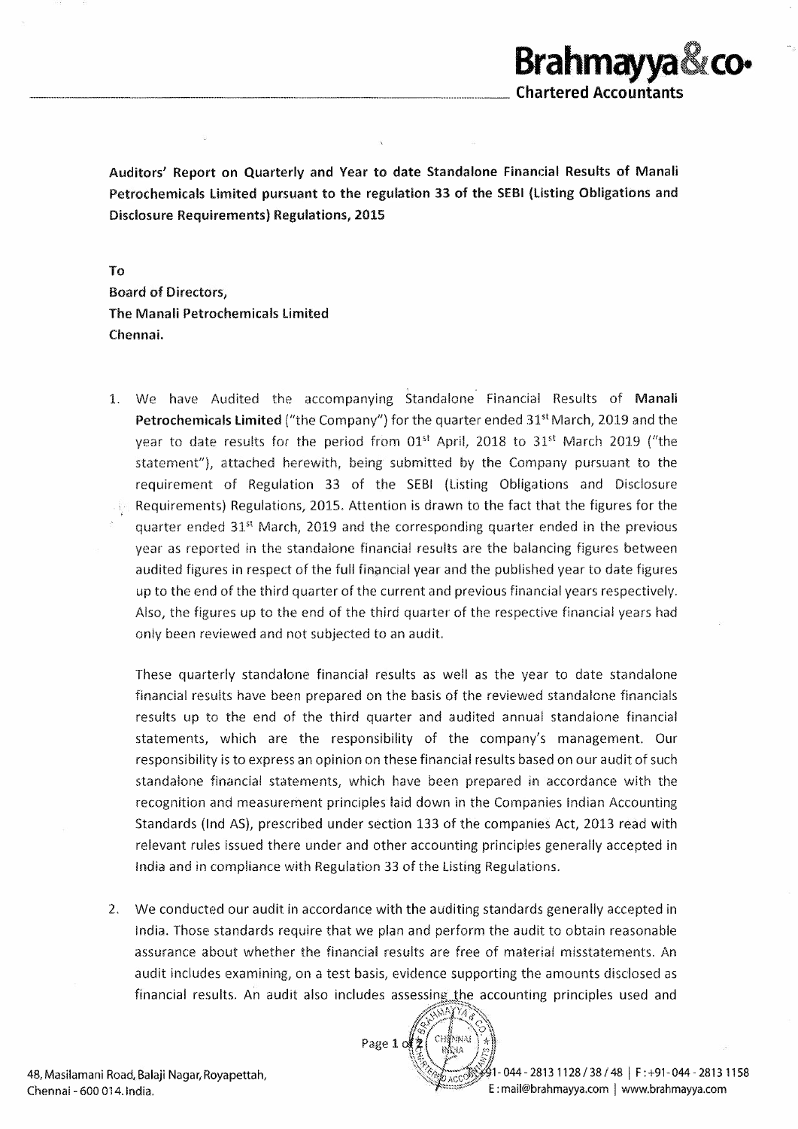

Auditors' Report on Quarterly and Year to date Standalone Financial Results of Manali Petrochemicals Limited pursuant to the regulation 33 of the SEBI {Listing Obligations and Disclosure Requirements) Regulations, 2015

To Board of Directors, The Manali Petrochemicals Limited Chennai.

--------------------------------

1. We have Audited the accompanying Standalone Financial Results of Manali **Petrochemicals Limited** ("the Company") for the quarter ended  $31<sup>st</sup>$  March, 2019 and the year to date results for the period from  $01<sup>st</sup>$  April, 2018 to  $31<sup>st</sup>$  March 2019 ("the statement"), attached herewith, being submitted by the Company pursuant to the requirement of Regulation 33 of the SEBI (Listing Obligations and Disclosure Requirements) Regulations, 2015. Attention is drawn to the fact that the figures for the quarter ended  $31<sup>st</sup>$  March, 2019 and the corresponding quarter ended in the previous year as reported in the standalone financial results are the balancing figures between audited figures in respect of the full financial year and the published year to date figures up to the end of the third quarter of the current and previous financial years respectively. Also, the figures up to the end of the third quarter of the respective financial years had only been reviewed and not subjected to an audit.

These quarterly standalone financial results as well as the year to date standalone financial results have been prepared on the basis of the reviewed standalone financials results up to the end of the third quarter and audited annual standalone financial statements, which are the responsibility of the company's management. Our responsibility is to express an opinion on these financial results based on our audit of such standalone financial statements, which have been prepared in accordance with the recognition and measurement principles laid down in the Companies Indian Accounting Standards (Ind AS), prescribed under section 133 of the companies Act, 2013 read with relevant rules issued there under and other accounting principles generally accepted in India and in compliance with Regulation 33 of the Listing Regulations.

2. We conducted our audit in accordance with the auditing standards generally accepted in India. Those standards require that we plan and perform the audit to obtain reasonable assurance about whether the financial results are free of material misstatements. An audit includes examining, on a test basis, evidence supporting the amounts disclosed as financial results. An audit also includes assessing the accounting principles used and



48, Masilamani Road, Balaji Naqar, Royapettah, Chennai - 600 014. India.

 $\acute{i}$ 1- 044 - 2813 1128 / 38 / 48  $\,$  F : +91- 044 - 2813 1158 E : mail@brahmayya.com | www.brahmayya.com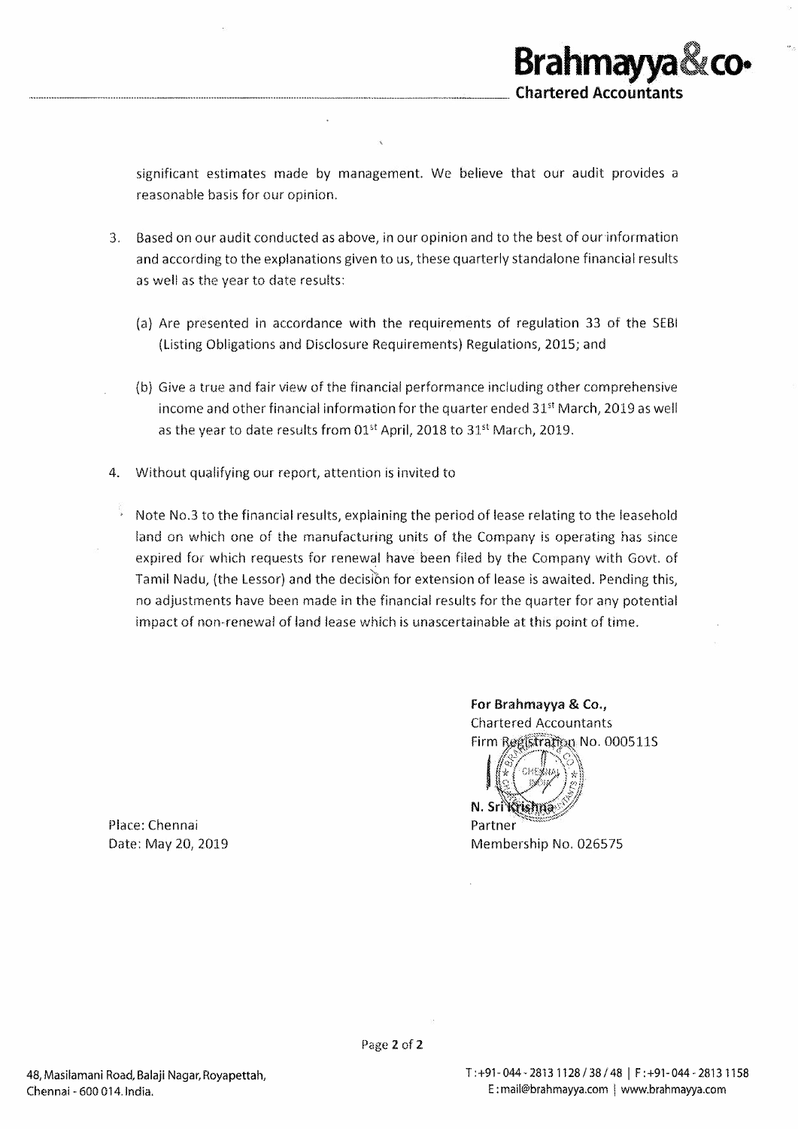significant estimates made by management. We believe that our audit provides a reasonable basis for our opinion.

- 3. Based on our audit conducted as above, in our opinion and to the best of our information and according to the explanations given to us, these quarterly standalone financial results as well as the year to date results:
	- (a} Are presented in accordance with the requirements of regulation 33 of the SEBI (Listing Obligations and Disclosure Requirements) Regulations, 2015; and
	- (b) Give a true and fair view of the financial performance including other comprehensive income and other financial information for the quarter ended  $31^{st}$  March, 2019 as well as the year to date results from 01<sup>st</sup> April, 2018 to 31<sup>st</sup> March, 2019.
- 4. Without qualifying our report, attention is invited to
	- $\sqrt{2}$  Note No.3 to the financial results, explaining the period of lease relating to the leasehold land on which one of the manufacturing units of the Company is operating has since expired for which requests for renewal have been filed by the Company with Govt. of Tamil Nadu, (the Lessor) and the decision for extension of lease is awaited. Pending this, no adjustments have been made in the financial results for the quarter for any potential impact of non-renewal of land lease which is unascertalnable at this point of time.

Place: Chennai Date: May 20, 2019 For Brahmayya & Co., **Chartered Accountants** Firm Registration No. 000511S

**Brahmayya** 

**co-**

**Chartered Accountants** 

N. Srí Krishna Partner

Membership No. 026575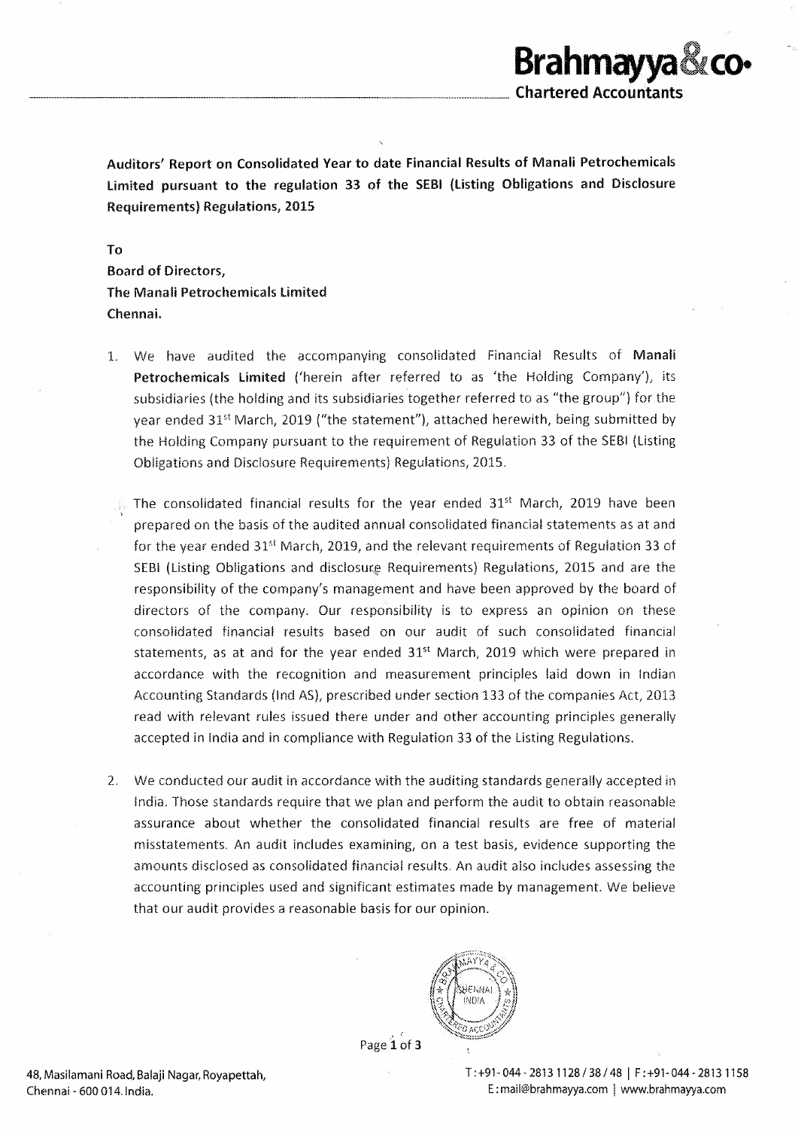Auditors' Report on Consolidated Year to date Financial Results of Manali Petrochemicals Limited pursuant to the regulation 33 of the SEBI (listing Obligations and Disclosure Requirements) Regulations, 2015

To Board of Directors, The Manali Petrochemicals limited Chennai.

- 1. We have audited the accompanying consolidated Financial Results of Manali Petrochemicals Limited ('herein after referred to as 'the Holding Company'), its subsidiaries (the holding and its subsidiaries together referred to as "the group") for the year ended 31't March, 2019 ("the statement"), attached herewith, being submitted by the Holding Company pursuant to the requirement of Regulation 33 of the SEBI (Listing Obligations and Disclosure Requirements) Regulations, 2015.
- The consolidated financial results for the year ended  $31<sup>st</sup>$  March, 2019 have been prepared on the basis of the audited annual consolidated financial statements as at and for the year ended  $31<sup>st</sup>$  March, 2019, and the relevant requirements of Regulation 33 of SEBI (Listing Obligations and disclosure Requirements) Regulations, 2015 and are the responsibility of the company's management and have been approved by the board of directors of the company. Our responsibility is to express an opinion on these consolidated financial results based on our audit of such consolidated financial statements, as at and for the year ended 31<sup>st</sup> March, 2019 which were prepared in accordance with the recognition and measurement principles laid down in Indian Accounting Standards (Ind AS), prescribed under section 133 of the companies Act, 2013 read with relevant rules issued there under and other accounting principles generally accepted in India and in compliance with Regulation 33 of the Listing Regulations.
- 2. We conducted our audit in accordance with the auditing standards generally accepted in India. Those standards require that we plan and perform the audit to obtain reasonable assurance about whether the consolidated financial results are free of material misstatements. An audit includes examinlng, on a test basis, evidence supporting the amounts disclosed as consolidated financial results. An audit also includes assessing the accounting principles used and significant estimates made by management. We believe that our audit provides a reasonable basis for our opinion.



Page 1 of 3

48, Masilamani Road, Balaji Nagar, Royapettah, Chennai - 600 014. India.

T : +91- 044 - 2813 1128 / 38 / 48 I F : +91- 044 - 2813 11 58 E: mail@brahmayya.com | www.brahmayya.com

 $\operatorname{\mathsf{Brahm}}$ ayya & co•

**Chartered Accountants**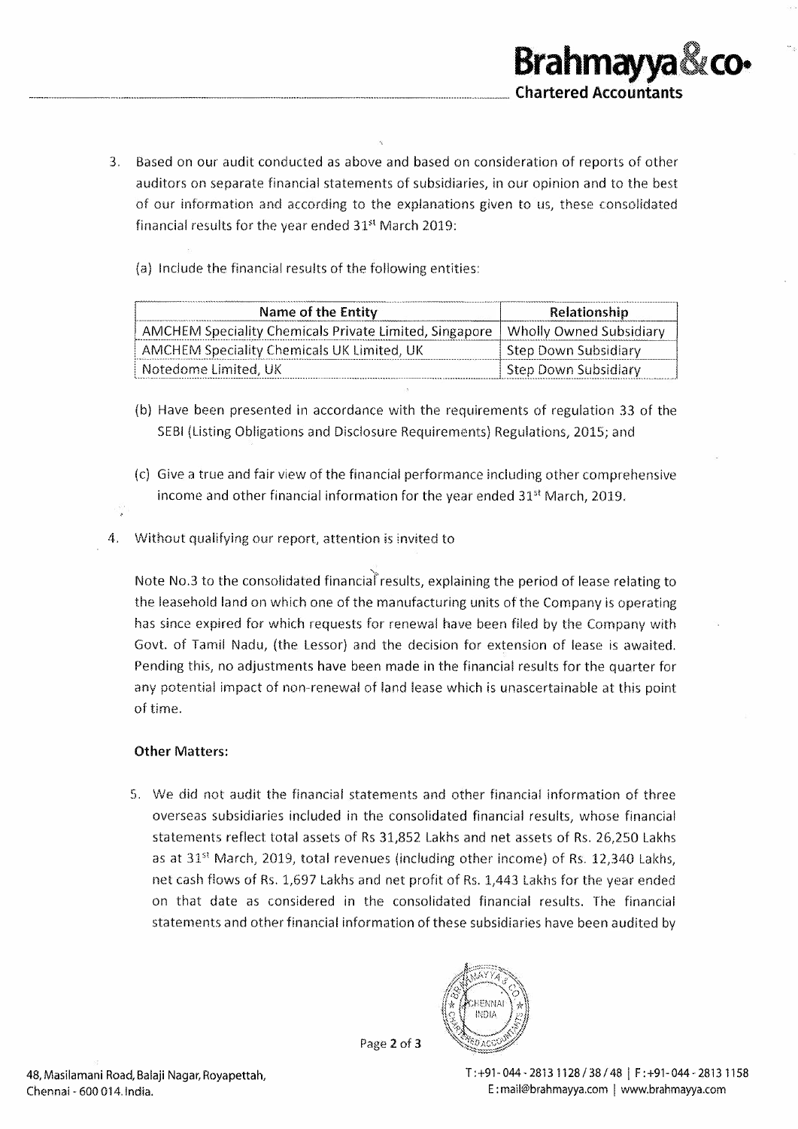- 3. Based on our audit conducted as above and based on consideration of reports of other auditors on separate financial statements of subsidiaries, in our opinion and to the best of our information and according to the explanations given to us, these consolidated financial results for the year ended 31<sup>st</sup> March 2019:
	- (a) Include the financial results of the following entities:

| Name of the Entity                                                               | Relationship                |
|----------------------------------------------------------------------------------|-----------------------------|
| AMCHEM Speciality Chemicals Private Limited, Singapore   Wholly Owned Subsidiary |                             |
| AMCHEM Speciality Chemicals UK Limited, UK                                       | - Step Down Subsidiary      |
| Notedome Limited, UK                                                             | <b>Step Down Subsidiary</b> |

- (b) Have been presented in accordance with the requirements of regulation 33 of the SEBI (Listing Obligations and Disclosure Requirements) Regulations, 2015; and
- (c) Give a true and fair view of the financial performance including other comprehensive income and other financial information for the year ended 31<sup>st</sup> March, 2019.
- Without qualifying our report, attention is invited to 4.

Note No.3 to the consolidated financial results, explaining the period of lease relating to the leasehold land on which one of the manufacturing units of the Company is operating has since expired for which requests for renewal have been filed by the Company with Govt. of Tamil Nadu, (the Lessor) and the decision for extension of lease is awaited. Pending this, no adjustments have been made in the financial results for the quarter for any potential impact of non-renewal of land lease which is unascertainable at this point of time.

## **Other Matters:**

5. We did not audit the financial statements and other financial information of three overseas subsidiaries included in the consolidated financial results, whose financial statements reflect total assets of Rs 31,852 Lakhs and net assets of Rs. 26,250 Lakhs as at 31<sup>st</sup> March, 2019, total revenues (including other income) of Rs. 12,340 Lakhs, net cash flows of Rs. 1,697 Lakhs and net profit of Rs. 1,443 Lakhs for the year ended on that date as considered in the consolidated financial results. The financial statements and other financial information of these subsidiaries have been audited by



Page 2 of 3